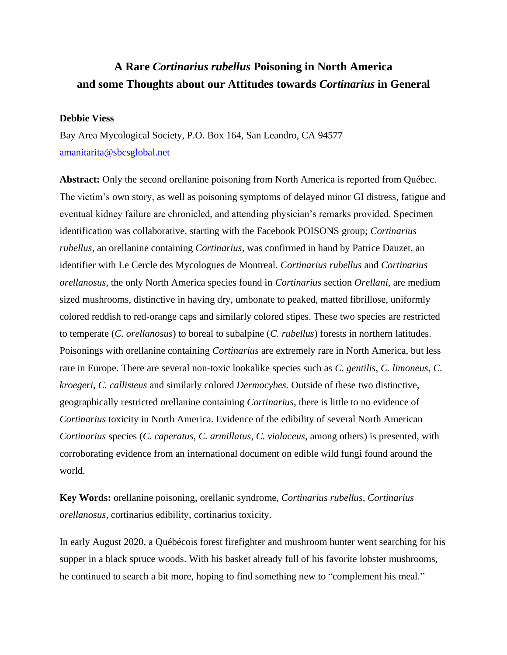# **A Rare** *Cortinarius rubellus* **Poisoning in North America and some Thoughts about our Attitudes towards** *Cortinarius* **in General**

#### **Debbie Viess**

Bay Area Mycological Society, P.O. Box 164, San Leandro, CA 94577 [amanitarita@sbcsglobal.net](mailto:amanitarita@sbcsglobal.net)

**Abstract:** Only the second orellanine poisoning from North America is reported from Québec. The victim's own story, as well as poisoning symptoms of delayed minor GI distress, fatigue and eventual kidney failure are chronicled, and attending physician's remarks provided. Specimen identification was collaborative, starting with the Facebook POISONS group; *Cortinarius rubellus*, an orellanine containing *Cortinarius*, was confirmed in hand by Patrice Dauzet, an identifier with Le Cercle des Mycologues de Montreal. *Cortinarius rubellus* and *Cortinarius orellanosus,* the only North America species found in *Cortinarius* section *Orellani,* are medium sized mushrooms, distinctive in having dry, umbonate to peaked, matted fibrillose, uniformly colored reddish to red-orange caps and similarly colored stipes. These two species are restricted to temperate (*C. orellanosus*) to boreal to subalpine (*C. rubellus*) forests in northern latitudes. Poisonings with orellanine containing *Cortinarius* are extremely rare in North America, but less rare in Europe. There are several non-toxic lookalike species such as *C. gentilis, C. limoneus*, *C. kroegeri*, *C. callisteus* and similarly colored *Dermocybes.* Outside of these two distinctive, geographically restricted orellanine containing *Cortinarius*, there is little to no evidence of *Cortinarius* toxicity in North America. Evidence of the edibility of several North American *Cortinarius* species (*C. caperatus*, *C. armillatus*, *C. violaceus*, among others) is presented, with corroborating evidence from an international document on edible wild fungi found around the world.

**Key Words:** orellanine poisoning, orellanic syndrome, *Cortinarius rubellus, Cortinarius orellanosus,* cortinarius edibility, cortinarius toxicity.

In early August 2020, a Québécois forest firefighter and mushroom hunter went searching for his supper in a black spruce woods. With his basket already full of his favorite lobster mushrooms, he continued to search a bit more, hoping to find something new to "complement his meal."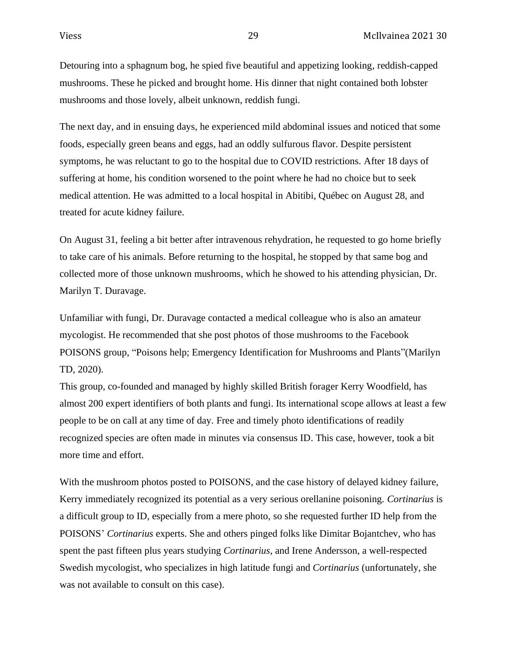Detouring into a sphagnum bog, he spied five beautiful and appetizing looking, reddish-capped mushrooms. These he picked and brought home. His dinner that night contained both lobster mushrooms and those lovely, albeit unknown, reddish fungi.

The next day, and in ensuing days, he experienced mild abdominal issues and noticed that some foods, especially green beans and eggs, had an oddly sulfurous flavor. Despite persistent symptoms, he was reluctant to go to the hospital due to COVID restrictions. After 18 days of suffering at home, his condition worsened to the point where he had no choice but to seek medical attention. He was admitted to a local hospital in Abitibi, Québec on August 28, and treated for acute kidney failure.

On August 31, feeling a bit better after intravenous rehydration, he requested to go home briefly to take care of his animals. Before returning to the hospital, he stopped by that same bog and collected more of those unknown mushrooms, which he showed to his attending physician, Dr. Marilyn T. Duravage.

Unfamiliar with fungi, Dr. Duravage contacted a medical colleague who is also an amateur mycologist. He recommended that she post photos of those mushrooms to the Facebook POISONS group, "Poisons help; Emergency Identification for Mushrooms and Plants"(Marilyn TD, 2020).

This group, co-founded and managed by highly skilled British forager Kerry Woodfield, has almost 200 expert identifiers of both plants and fungi. Its international scope allows at least a few people to be on call at any time of day. Free and timely photo identifications of readily recognized species are often made in minutes via consensus ID. This case, however, took a bit more time and effort.

With the mushroom photos posted to POISONS, and the case history of delayed kidney failure, Kerry immediately recognized its potential as a very serious orellanine poisoning. *Cortinarius* is a difficult group to ID, especially from a mere photo, so she requested further ID help from the POISONS' *Cortinarius* experts. She and others pinged folks like Dimitar Bojantchev, who has spent the past fifteen plus years studying *Cortinarius*, and Irene Andersson, a well-respected Swedish mycologist, who specializes in high latitude fungi and *Cortinarius* (unfortunately, she was not available to consult on this case).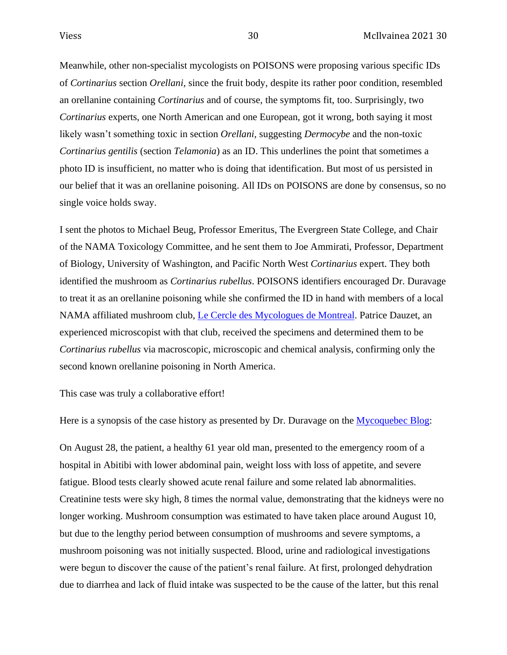Meanwhile, other non-specialist mycologists on POISONS were proposing various specific IDs of *Cortinarius* section *Orellani*, since the fruit body, despite its rather poor condition, resembled an orellanine containing *Cortinarius* and of course, the symptoms fit, too. Surprisingly, two *Cortinarius* experts, one North American and one European, got it wrong, both saying it most likely wasn't something toxic in section *Orellani,* suggesting *Dermocybe* and the non-toxic *Cortinarius gentilis* (section *Telamonia*) as an ID. This underlines the point that sometimes a photo ID is insufficient, no matter who is doing that identification. But most of us persisted in our belief that it was an orellanine poisoning. All IDs on POISONS are done by consensus, so no single voice holds sway.

I sent the photos to Michael Beug, Professor Emeritus, The Evergreen State College, and Chair of the NAMA Toxicology Committee, and he sent them to Joe Ammirati, Professor, Department of Biology, University of Washington, and Pacific North West *Cortinarius* expert. They both identified the mushroom as *Cortinarius rubellus*. POISONS identifiers encouraged Dr. Duravage to treat it as an orellanine poisoning while she confirmed the ID in hand with members of a local NAMA affiliated mushroom club, [Le Cercle des Mycologues de Montreal.](https://mycomontreal.qc.ca/) Patrice Dauzet, an experienced microscopist with that club, received the specimens and determined them to be *Cortinarius rubellus* via macroscopic, microscopic and chemical analysis, confirming only the second known orellanine poisoning in North America.

This case was truly a collaborative effort!

Here is a synopsis of the case history as presented by Dr. Duravage on the [Mycoquebec Blog:](https://blog.mycoquebec.org/blog/intoxication-grave-par-un-cortinaire-une-premiere-au-quebec/)

On August 28, the patient, a healthy 61 year old man, presented to the emergency room of a hospital in Abitibi with lower abdominal pain, weight loss with loss of appetite, and severe fatigue. Blood tests clearly showed acute renal failure and some related lab abnormalities. Creatinine tests were sky high, 8 times the normal value, demonstrating that the kidneys were no longer working. Mushroom consumption was estimated to have taken place around August 10, but due to the lengthy period between consumption of mushrooms and severe symptoms, a mushroom poisoning was not initially suspected. Blood, urine and radiological investigations were begun to discover the cause of the patient's renal failure. At first, prolonged dehydration due to diarrhea and lack of fluid intake was suspected to be the cause of the latter, but this renal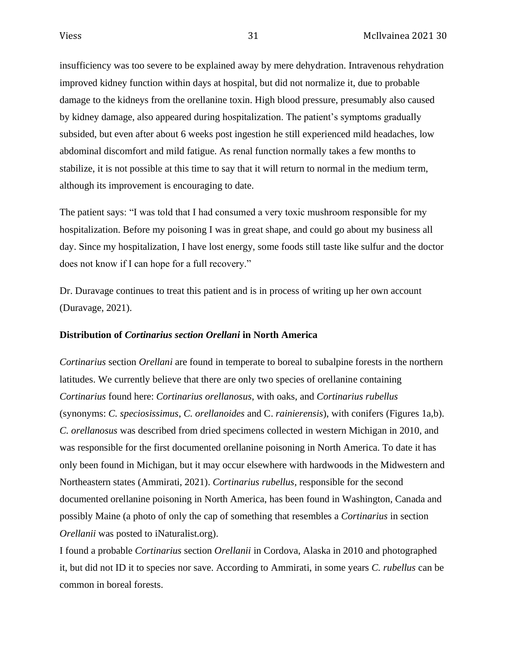insufficiency was too severe to be explained away by mere dehydration. Intravenous rehydration improved kidney function within days at hospital, but did not normalize it, due to probable damage to the kidneys from the orellanine toxin. High blood pressure, presumably also caused by kidney damage, also appeared during hospitalization. The patient's symptoms gradually subsided, but even after about 6 weeks post ingestion he still experienced mild headaches, low abdominal discomfort and mild fatigue. As renal function normally takes a few months to stabilize, it is not possible at this time to say that it will return to normal in the medium term, although its improvement is encouraging to date.

The patient says: "I was told that I had consumed a very toxic mushroom responsible for my hospitalization. Before my poisoning I was in great shape, and could go about my business all day. Since my hospitalization, I have lost energy, some foods still taste like sulfur and the doctor does not know if I can hope for a full recovery."

Dr. Duravage continues to treat this patient and is in process of writing up her own account (Duravage, 2021).

## **Distribution of** *Cortinarius section Orellani* **in North America**

*Cortinarius* section *Orellani* are found in temperate to boreal to subalpine forests in the northern latitudes. We currently believe that there are only two species of orellanine containing *Cortinarius* found here: *Cortinarius orellanosus*, with oaks, and *Cortinarius rubellus* (synonyms: *C. speciosissimus*, *C. orellanoides* and C. *rainierensis*), with conifers (Figures 1a,b). *C. orellanosus* was described from dried specimens collected in western Michigan in 2010, and was responsible for the first documented orellanine poisoning in North America. To date it has only been found in Michigan, but it may occur elsewhere with hardwoods in the Midwestern and Northeastern states (Ammirati, 2021). *Cortinarius rubellus,* responsible for the second documented orellanine poisoning in North America, has been found in Washington, Canada and possibly Maine (a photo of only the cap of something that resembles a *Cortinarius* in section *Orellanii* was posted to iNaturalist.org).

I found a probable *Cortinarius* section *Orellanii* in Cordova, Alaska in 2010 and photographed it, but did not ID it to species nor save. According to Ammirati, in some years *C. rubellus* can be common in boreal forests.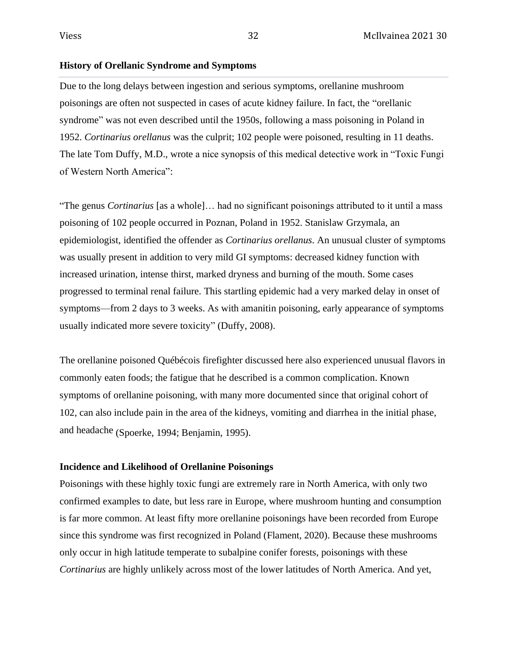# **History of Orellanic Syndrome and Symptoms**

Due to the long delays between ingestion and serious symptoms, orellanine mushroom poisonings are often not suspected in cases of acute kidney failure. In fact, the "orellanic syndrome" was not even described until the 1950s, following a mass poisoning in Poland in 1952. *Cortinarius orellanus* was the culprit; 102 people were poisoned, resulting in 11 deaths. The late Tom Duffy, M.D., wrote a nice synopsis of this medical detective work in "Toxic Fungi of Western North America":

"The genus *Cortinarius* [as a whole]… had no significant poisonings attributed to it until a mass poisoning of 102 people occurred in Poznan, Poland in 1952. Stanislaw Grzymala, an epidemiologist, identified the offender as *Cortinarius orellanus.* An unusual cluster of symptoms was usually present in addition to very mild GI symptoms: decreased kidney function with increased urination, intense thirst, marked dryness and burning of the mouth. Some cases progressed to terminal renal failure. This startling epidemic had a very marked delay in onset of symptoms—from 2 days to 3 weeks. As with amanitin poisoning, early appearance of symptoms usually indicated more severe toxicity" (Duffy, 2008).

The orellanine poisoned Québécois firefighter discussed here also experienced unusual flavors in commonly eaten foods; the fatigue that he described is a common complication. Known symptoms of orellanine poisoning, with many more documented since that original cohort of 102, can also include pain in the area of the kidneys, vomiting and diarrhea in the initial phase, and headache (Spoerke, 1994; Benjamin, 1995).

#### **Incidence and Likelihood of Orellanine Poisonings**

Poisonings with these highly toxic fungi are extremely rare in North America, with only two confirmed examples to date, but less rare in Europe, where mushroom hunting and consumption is far more common. At least fifty more orellanine poisonings have been recorded from Europe since this syndrome was first recognized in Poland (Flament, 2020). Because these mushrooms only occur in high latitude temperate to subalpine conifer forests, poisonings with these *Cortinarius* are highly unlikely across most of the lower latitudes of North America. And yet,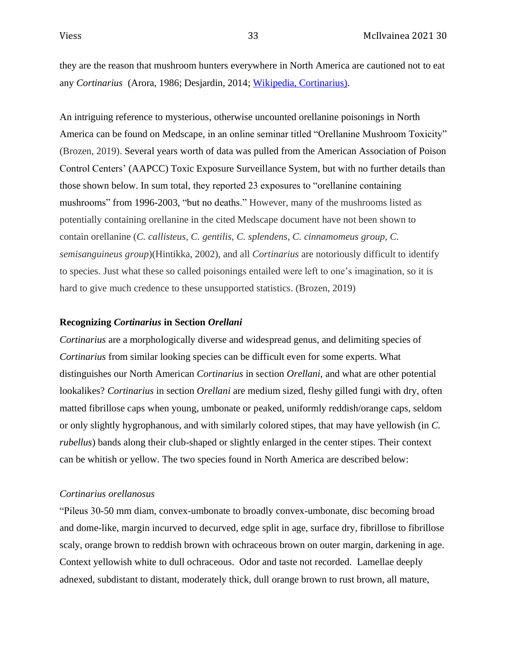they are the reason that mushroom hunters everywhere in North America are cautioned not to eat any *Cortinarius* (Arora, 1986; Desjardin, 2014; [Wikipedia, Cortinarius\).](https://en.wikipedia.org/wiki/Cortinarius#:~:text=Toxicity.%20Several%20mushrooms%20in%20the%20genus%20Cortinarius%20are,is%20that%20none%20of%20them%20should%20be%20eaten.)

An intriguing reference to mysterious, otherwise uncounted orellanine poisonings in North America can be found on Medscape, in an online seminar titled "Orellanine Mushroom Toxicity" (Brozen, 2019). Several years worth of data was pulled from the American Association of Poison Control Centers' (AAPCC) Toxic Exposure Surveillance System, but with no further details than those shown below. In sum total, they reported 23 exposures to "orellanine containing mushrooms" from 1996-2003, "but no deaths." However, many of the mushrooms listed as potentially containing orellanine in the cited Medscape document have not been shown to contain orellanine (*C. callisteus, C. gentilis, C. splendens, C. cinnamomeus group, C. semisanguineus group*)(Hintikka, 2002), and all *Cortinarius* are notoriously difficult to identify to species. Just what these so called poisonings entailed were left to one's imagination, so it is hard to give much credence to these unsupported statistics. (Brozen, 2019)

## **Recognizing** *Cortinarius* **in Section** *Orellani*

*Cortinarius* are a morphologically diverse and widespread genus, and delimiting species of *Cortinarius* from similar looking species can be difficult even for some experts. What distinguishes our North American *Cortinarius* in section *Orellani*, and what are other potential lookalikes? *Cortinarius* in section *Orellani* are medium sized, fleshy gilled fungi with dry, often matted fibrillose caps when young, umbonate or peaked, uniformly reddish/orange caps, seldom or only slightly hygrophanous, and with similarly colored stipes, that may have yellowish (in *C. rubellus*) bands along their club-shaped or slightly enlarged in the center stipes. Their context can be whitish or yellow. The two species found in North America are described below:

#### *Cortinarius orellanosus*

"Pileus 30-50 mm diam, convex-umbonate to broadly convex-umbonate, disc becoming broad and dome-like, margin incurved to decurved, edge split in age, surface dry, fibrillose to fibrillose scaly, orange brown to reddish brown with ochraceous brown on outer margin, darkening in age. Context yellowish white to dull ochraceous. Odor and taste not recorded. Lamellae deeply adnexed, subdistant to distant, moderately thick, dull orange brown to rust brown, all mature,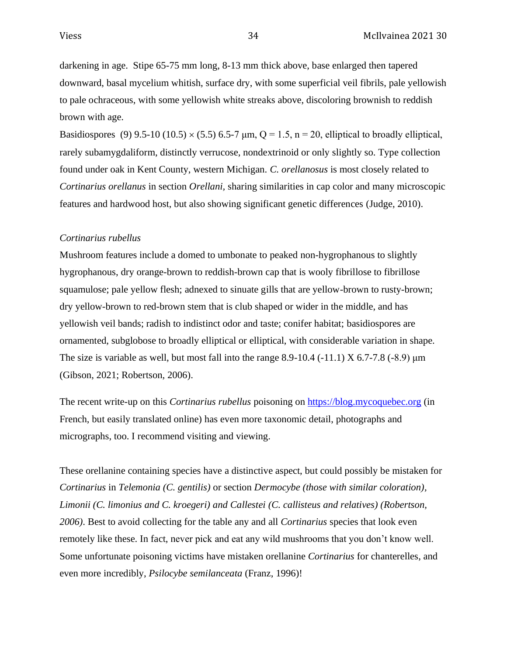darkening in age. Stipe 65-75 mm long, 8-13 mm thick above, base enlarged then tapered downward, basal mycelium whitish, surface dry, with some superficial veil fibrils, pale yellowish to pale ochraceous, with some yellowish white streaks above, discoloring brownish to reddish brown with age.

Basidiospores (9) 9.5-10 (10.5)  $\times$  (5.5) 6.5-7  $\mu$ m, Q = 1.5, n = 20, elliptical to broadly elliptical, rarely subamygdaliform, distinctly verrucose, nondextrinoid or only slightly so. Type collection found under oak in Kent County, western Michigan. *C. orellanosus* is most closely related to *Cortinarius orellanus* in section *Orellani,* sharing similarities in cap color and many microscopic features and hardwood host, but also showing significant genetic differences (Judge, 2010).

#### *Cortinarius rubellus*

Mushroom features include a domed to umbonate to peaked non-hygrophanous to slightly hygrophanous, dry orange-brown to reddish-brown cap that is wooly fibrillose to fibrillose squamulose; pale yellow flesh; adnexed to sinuate gills that are yellow-brown to rusty-brown; dry yellow-brown to red-brown stem that is club shaped or wider in the middle, and has yellowish veil bands; radish to indistinct odor and taste; conifer habitat; basidiospores are ornamented, subglobose to broadly elliptical or elliptical, with considerable variation in shape. The size is variable as well, but most fall into the range  $8.9-10.4$  (-11.1) X  $6.7-7.8$  (-8.9)  $\mu$ m (Gibson, 2021; Robertson, 2006).

The recent write-up on this *Cortinarius rubellus* poisoning on [https://blog.mycoquebec.org](https://blog.mycoquebec.org/) (in French, but easily translated online) has even more taxonomic detail, photographs and micrographs, too. I recommend visiting and viewing.

These orellanine containing species have a distinctive aspect, but could possibly be mistaken for *Cortinarius* in *Telemonia (C. gentilis)* or section *Dermocybe (those with similar coloration), Limonii (C. limonius and C. kroegeri) and Callestei (C. callisteus and relatives) (Robertson, 2006)*. Best to avoid collecting for the table any and all *Cortinarius* species that look even remotely like these. In fact, never pick and eat any wild mushrooms that you don't know well. Some unfortunate poisoning victims have mistaken orellanine *Cortinarius* for chanterelles, and even more incredibly, *Psilocybe semilanceata* (Franz, 1996)!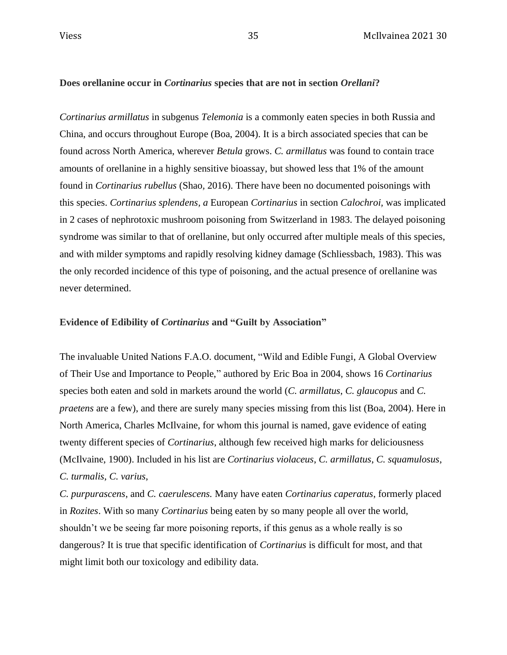#### **Does orellanine occur in** *Cortinarius* **species that are not in section** *Orellani***?**

*Cortinarius armillatus* in subgenus *Telemonia* is a commonly eaten species in both Russia and China, and occurs throughout Europe (Boa, 2004). It is a birch associated species that can be found across North America, wherever *Betula* grows. *C. armillatus* was found to contain trace amounts of orellanine in a highly sensitive bioassay, but showed less that 1% of the amount found in *Cortinarius rubellus* (Shao*,* 2016). There have been no documented poisonings with this species. *Cortinarius splendens, a* European *Cortinarius* in section *Calochroi,* was implicated in 2 cases of nephrotoxic mushroom poisoning from Switzerland in 1983. The delayed poisoning syndrome was similar to that of orellanine, but only occurred after multiple meals of this species, and with milder symptoms and rapidly resolving kidney damage (Schliessbach, 1983). This was the only recorded incidence of this type of poisoning, and the actual presence of orellanine was never determined.

#### **Evidence of Edibility of** *Cortinarius* **and "Guilt by Association"**

The invaluable United Nations F.A.O. document, "Wild and Edible Fungi, A Global Overview of Their Use and Importance to People," authored by Eric Boa in 2004, shows 16 *Cortinarius* species both eaten and sold in markets around the world (*C. armillatus*, *C. glaucopus* and *C. praetens* are a few), and there are surely many species missing from this list (Boa, 2004). Here in North America, Charles McIlvaine, for whom this journal is named, gave evidence of eating twenty different species of *Cortinarius*, although few received high marks for deliciousness (McIlvaine, 1900). Included in his list are *Cortinarius violaceus*, *C. armillatus*, *C. squamulosus*, *C. turmalis*, *C. varius*,

*C. purpurascens*, and *C. caerulescens.* Many have eaten *Cortinarius caperatus*, formerly placed in *Rozites*. With so many *Cortinarius* being eaten by so many people all over the world, shouldn't we be seeing far more poisoning reports, if this genus as a whole really is so dangerous? It is true that specific identification of *Cortinarius* is difficult for most, and that might limit both our toxicology and edibility data.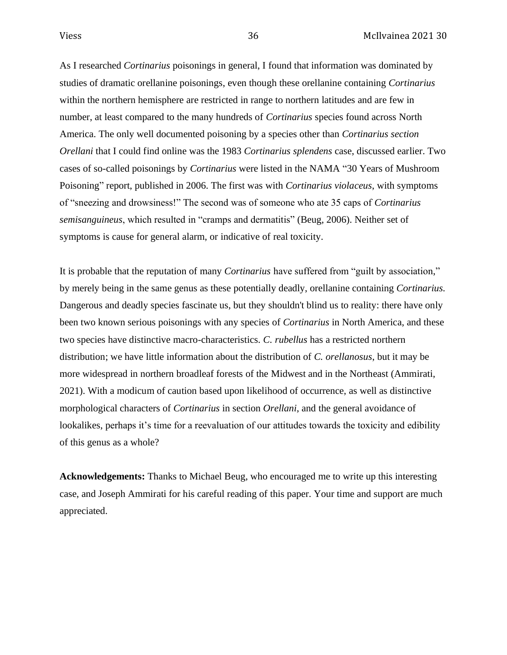As I researched *Cortinarius* poisonings in general, I found that information was dominated by studies of dramatic orellanine poisonings, even though these orellanine containing *Cortinarius* within the northern hemisphere are restricted in range to northern latitudes and are few in number, at least compared to the many hundreds of *Cortinarius* species found across North America. The only well documented poisoning by a species other than *Cortinarius section Orellani* that I could find online was the 1983 *Cortinarius splendens* case, discussed earlier. Two cases of so-called poisonings by *Cortinarius* were listed in the NAMA "30 Years of Mushroom Poisoning" report, published in 2006. The first was with *Cortinarius violaceus*, with symptoms of "sneezing and drowsiness!" The second was of someone who ate 35 caps of *Cortinarius semisanguineus*, which resulted in "cramps and dermatitis" (Beug, 2006). Neither set of symptoms is cause for general alarm, or indicative of real toxicity.

It is probable that the reputation of many *Cortinarius* have suffered from "guilt by association," by merely being in the same genus as these potentially deadly, orellanine containing *Cortinarius.* Dangerous and deadly species fascinate us, but they shouldn't blind us to reality: there have only been two known serious poisonings with any species of *Cortinarius* in North America, and these two species have distinctive macro-characteristics. *C. rubellus* has a restricted northern distribution; we have little information about the distribution of *C. orellanosus*, but it may be more widespread in northern broadleaf forests of the Midwest and in the Northeast (Ammirati, 2021). With a modicum of caution based upon likelihood of occurrence, as well as distinctive morphological characters of *Cortinarius* in section *Orellani*, and the general avoidance of lookalikes, perhaps it's time for a reevaluation of our attitudes towards the toxicity and edibility of this genus as a whole?

**Acknowledgements:** Thanks to Michael Beug, who encouraged me to write up this interesting case, and Joseph Ammirati for his careful reading of this paper. Your time and support are much appreciated.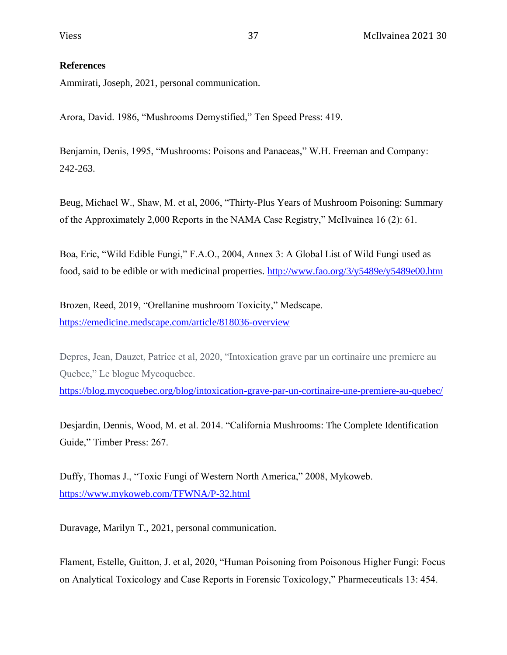## **References**

Ammirati, Joseph, 2021, personal communication.

Arora, David. 1986, "Mushrooms Demystified," Ten Speed Press: 419.

Benjamin, Denis, 1995, "Mushrooms: Poisons and Panaceas," W.H. Freeman and Company: 242-263.

Beug, Michael W., Shaw, M. et al, 2006, "Thirty-Plus Years of Mushroom Poisoning: Summary of the Approximately 2,000 Reports in the NAMA Case Registry," McIlvainea 16 (2): 61.

Boa, Eric, "Wild Edible Fungi," F.A.O., 2004, Annex 3: A Global List of Wild Fungi used as food, said to be edible or with medicinal properties.<http://www.fao.org/3/y5489e/y5489e00.htm>

Brozen, Reed, 2019, "Orellanine mushroom Toxicity," Medscape. <https://emedicine.medscape.com/article/818036-overview>

Depres, Jean, Dauzet, Patrice et al, 2020, "Intoxication grave par un cortinaire une premiere au Quebec," Le blogue Mycoquebec.

<https://blog.mycoquebec.org/blog/intoxication-grave-par-un-cortinaire-une-premiere-au-quebec/>

Desjardin, Dennis, Wood, M. et al. 2014. "California Mushrooms: The Complete Identification Guide," Timber Press: 267.

Duffy, Thomas J., "Toxic Fungi of Western North America," 2008, Mykoweb. <https://www.mykoweb.com/TFWNA/P-32.html>

Duravage, Marilyn T., 2021, personal communication.

Flament, Estelle, Guitton, J. et al, 2020, "Human Poisoning from Poisonous Higher Fungi: Focus on Analytical Toxicology and Case Reports in Forensic Toxicology," Pharmeceuticals 13: 454.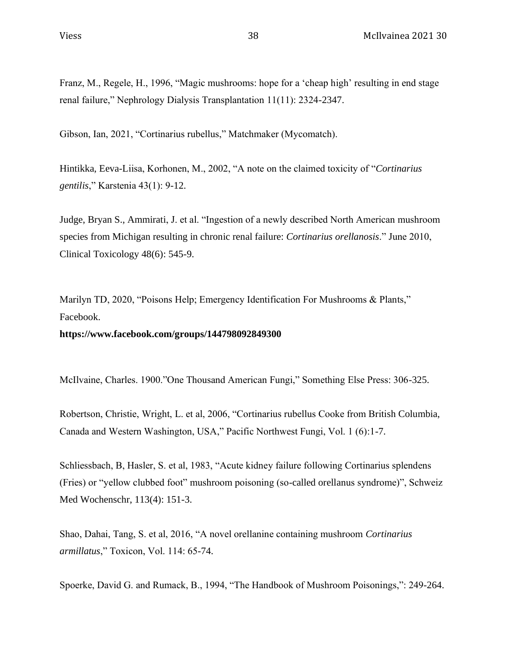Franz, M., Regele, H., 1996, "Magic mushrooms: hope for a 'cheap high' resulting in end stage renal failure," Nephrology Dialysis Transplantation 11(11): 2324-2347.

Gibson, Ian, 2021, "Cortinarius rubellus," Matchmaker (Mycomatch).

Hintikka, Eeva-Liisa, Korhonen, M., 2002, "A note on the claimed toxicity of "*Cortinarius gentilis*," Karstenia 43(1): 9-12.

Judge, Bryan S., Ammirati, J. et al. "Ingestion of a newly described North American mushroom species from Michigan resulting in chronic renal failure: *Cortinarius orellanosis*." June 2010, Clinical Toxicology 48(6): 545-9.

Marilyn TD, 2020, "Poisons Help; Emergency Identification For Mushrooms & Plants," Facebook.

## **https://www.facebook.com/groups/144798092849300**

McIlvaine, Charles. 1900."One Thousand American Fungi," Something Else Press: 306-325.

Robertson, Christie, Wright, L. et al, 2006, "Cortinarius rubellus Cooke from British Columbia, Canada and Western Washington, USA," Pacific Northwest Fungi, Vol. 1 (6):1-7.

Schliessbach, B, Hasler, S. et al, 1983, "Acute kidney failure following Cortinarius splendens (Fries) or "yellow clubbed foot" mushroom poisoning (so-called orellanus syndrome)", Schweiz Med Wochenschr, 113(4): 151-3.

Shao, Dahai, Tang, S. et al, 2016, "A novel orellanine containing mushroom *Cortinarius armillatus*," Toxicon, Vol. 114: 65-74.

Spoerke, David G. and Rumack, B., 1994, "The Handbook of Mushroom Poisonings,": 249-264.